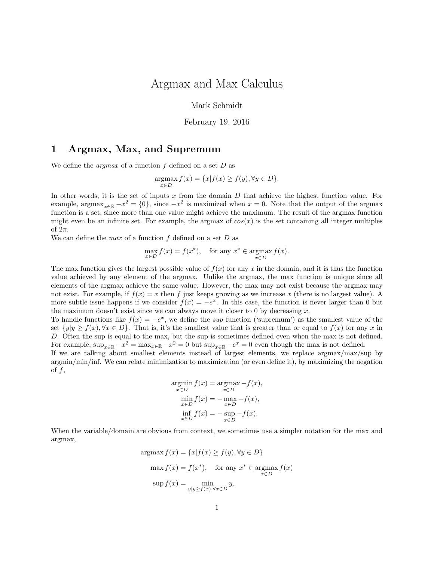# Argmax and Max Calculus

Mark Schmidt

February 19, 2016

### 1 Argmax, Max, and Supremum

We define the *argmax* of a function f defined on a set  $D$  as

$$
\underset{x \in D}{\operatorname{argmax}} f(x) = \{x | f(x) \ge f(y), \forall y \in D\}.
$$

In other words, it is the set of inputs  $x$  from the domain  $D$  that achieve the highest function value. For example, argmax<sub>x∈R</sub>  $-x^2 = \{0\}$ , since  $-x^2$  is maximized when  $x = 0$ . Note that the output of the argmax function is a set, since more than one value might achieve the maximum. The result of the argmax function might even be an infinite set. For example, the argmax of  $cos(x)$  is the set containing all integer multiples of  $2\pi$ .

We can define the max of a function  $f$  defined on a set  $D$  as

$$
\max_{x \in D} f(x) = f(x^*), \quad \text{for any } x^* \in \operatorname*{argmax}_{x \in D} f(x).
$$

The max function gives the largest possible value of  $f(x)$  for any x in the domain, and it is thus the function value achieved by any element of the argmax. Unlike the argmax, the max function is unique since all elements of the argmax achieve the same value. However, the max may not exist because the argmax may not exist. For example, if  $f(x) = x$  then f just keeps growing as we increase x (there is no largest value). A more subtle issue happens if we consider  $f(x) = -e^x$ . In this case, the function is never larger than 0 but the maximum doesn't exist since we can always move it closer to 0 by decreasing  $x$ .

To handle functions like  $f(x) = -e^x$ , we define the sup function ('supremum') as the smallest value of the set  $\{y|y \ge f(x), \forall x \in D\}$ . That is, it's the smallest value that is greater than or equal to  $f(x)$  for any x in D. Often the sup is equal to the max, but the sup is sometimes defined even when the max is not defined. For example,  $\sup_{x \in \mathbb{R}} -x^2 = \max_{x \in \mathbb{R}} -x^2 = 0$  but  $\sup_{x \in \mathbb{R}} -e^x = 0$  even though the max is not defined.

If we are talking about smallest elements instead of largest elements, we replace argmax/max/sup by argmin/min/inf. We can relate minimization to maximization (or even define it), by maximizing the negation of  $f$ ,

$$
\underset{x \in D}{\operatorname{argmin}} f(x) = \underset{x \in D}{\operatorname{argmax}} -f(x),
$$
\n
$$
\underset{x \in D}{\operatorname{min}} f(x) = -\underset{x \in D}{\operatorname{max}} -f(x),
$$
\n
$$
\underset{x \in D}{\operatorname{inf}} f(x) = -\underset{x \in D}{\operatorname{sup}} -f(x).
$$

When the variable/domain are obvious from context, we sometimes use a simpler notation for the max and argmax,

$$
\operatorname{argmax} f(x) = \{x | f(x) \ge f(y), \forall y \in D\}
$$

$$
\max f(x) = f(x^*), \quad \text{for any } x^* \in \operatorname{argmax}_{x \in D} f(x)
$$

$$
\sup f(x) = \min_{y | y \ge f(x), \forall x \in D} y.
$$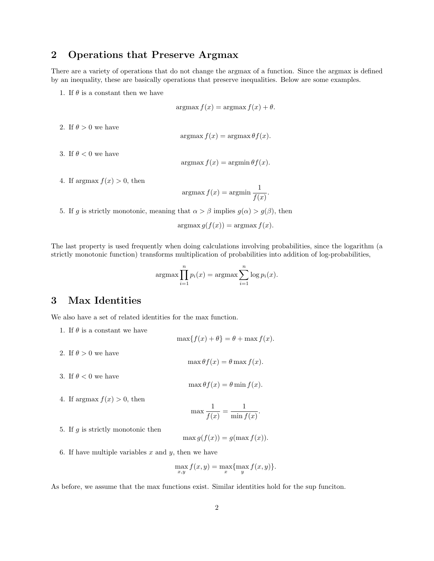## 2 Operations that Preserve Argmax

There are a variety of operations that do not change the argmax of a function. Since the argmax is defined by an inequality, these are basically operations that preserve inequalities. Below are some examples.

1. If  $\theta$  is a constant then we have

$$
\operatorname{argmax} f(x) = \operatorname{argmax} f(x) + \theta.
$$

2. If  $\theta > 0$  we have

$$
argmax f(x) = argmax \theta f(x).
$$

3. If  $\theta < 0$  we have

$$
argmax f(x) = argmin \theta f(x).
$$

4. If argmax  $f(x) > 0$ , then

$$
argmax f(x) = argmin \frac{1}{f(x)}.
$$

5. If g is strictly monotonic, meaning that  $\alpha > \beta$  implies  $g(\alpha) > g(\beta)$ , then

$$
argmax g(f(x)) = argmax f(x).
$$

The last property is used frequently when doing calculations involving probabilities, since the logarithm (a strictly monotonic function) transforms multiplication of probabilities into addition of log-probabilities,

$$
\operatorname{argmax} \prod_{i=1}^{n} p_i(x) = \operatorname{argmax} \sum_{i=1}^{n} \log p_i(x).
$$

### 3 Max Identities

We also have a set of related identities for the max function.

1. If  $\theta$  is a constant we have

 $\max\{f(x) + \theta\} = \theta + \max f(x).$ 

 $\max \theta f(x) = \theta \max f(x)$ .

- 2. If  $\theta > 0$  we have
- 3. If  $\theta < 0$  we have

$$
\max \theta f(x) = \theta \min f(x).
$$

4. If argmax  $f(x) > 0$ , then

$$
\max \frac{1}{f(x)} = \frac{1}{\min f(x)}.
$$

5. If  $q$  is strictly monotonic then

$$
\max g(f(x)) = g(\max f(x)).
$$

6. If have multiple variables  $x$  and  $y$ , then we have

$$
\max_{x,y} f(x,y) = \max_{x} \{ \max_{y} f(x,y) \}.
$$

As before, we assume that the max functions exist. Similar identities hold for the sup funciton.